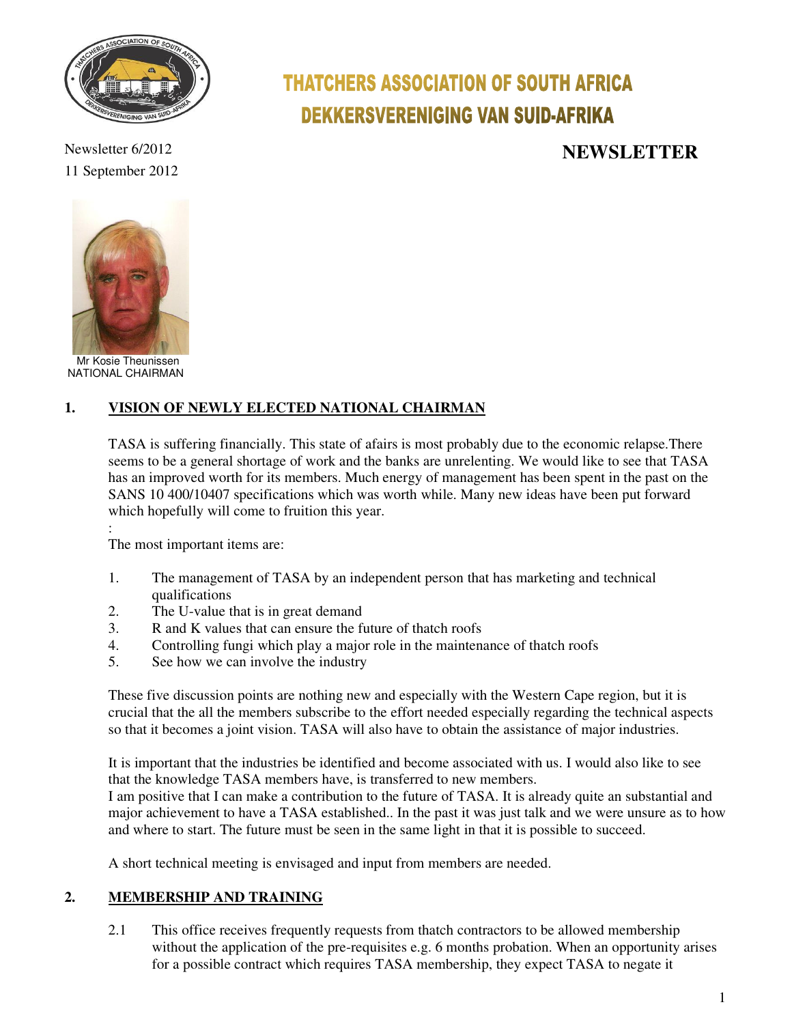

**THATCHERS ASSOCIATION OF SOUTH AFRICA DEKKERSVERENIGING VAN SUID-AFRIKA** 

Newsletter 6/2012 **NEWSLETTER** 





 Mr Kosie Theunissen NATIONAL CHAIRMAN

# **1. VISION OF NEWLY ELECTED NATIONAL CHAIRMAN**

TASA is suffering financially. This state of afairs is most probably due to the economic relapse.There seems to be a general shortage of work and the banks are unrelenting. We would like to see that TASA has an improved worth for its members. Much energy of management has been spent in the past on the SANS 10 400/10407 specifications which was worth while. Many new ideas have been put forward which hopefully will come to fruition this year.

: The most important items are:

- 1. The management of TASA by an independent person that has marketing and technical qualifications
- 2. The U-value that is in great demand
- 3. R and K values that can ensure the future of thatch roofs
- 4. Controlling fungi which play a major role in the maintenance of thatch roofs
- 5. See how we can involve the industry

These five discussion points are nothing new and especially with the Western Cape region, but it is crucial that the all the members subscribe to the effort needed especially regarding the technical aspects so that it becomes a joint vision. TASA will also have to obtain the assistance of major industries.

It is important that the industries be identified and become associated with us. I would also like to see that the knowledge TASA members have, is transferred to new members.

I am positive that I can make a contribution to the future of TASA. It is already quite an substantial and major achievement to have a TASA established.. In the past it was just talk and we were unsure as to how and where to start. The future must be seen in the same light in that it is possible to succeed.

A short technical meeting is envisaged and input from members are needed.

## **2. MEMBERSHIP AND TRAINING**

2.1 This office receives frequently requests from thatch contractors to be allowed membership without the application of the pre-requisites e.g. 6 months probation. When an opportunity arises for a possible contract which requires TASA membership, they expect TASA to negate it